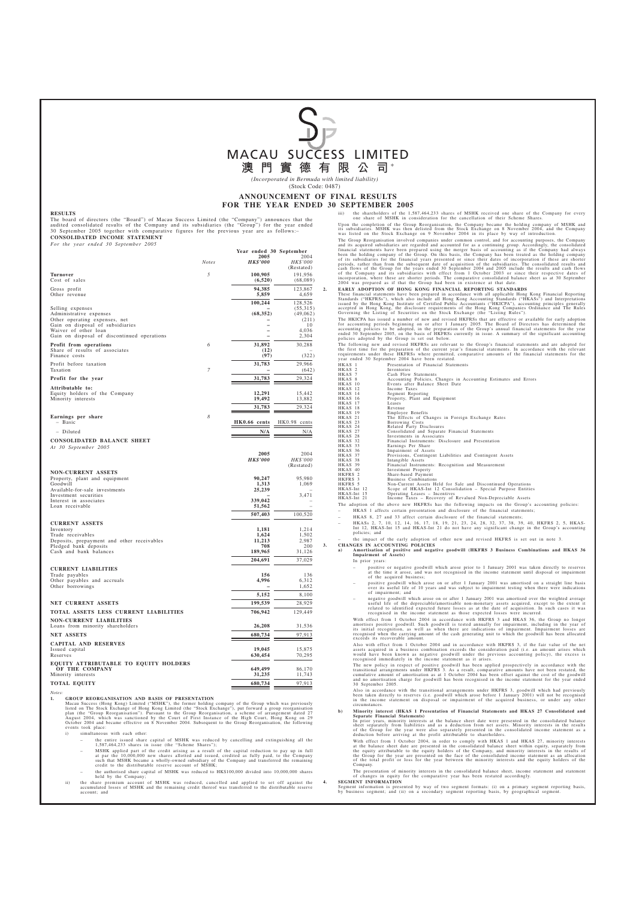

*(Incorporated in Bermuda with limited liability)* (Stock Code: 0487)

# **ANNOUNCEMENT OF FINAL RESULTS FOR THE YEAR ENDED 30 SEPTEMBER 2005**<br>iii) the shareholders of the 1.5

### **RESULTS**

The board of directors (the "Board") of Macau Success Limited (the "Company") announces that the audited consolidated results of the Company and its subsidiaries (the "Group") for the year ended 30 September 2005 together with comparative figures for the previous year are as follows:– **CONSOLIDATED INCOME STATEMENT**

| For the year ended 30 September 2005                                                                    |              |                                                    |                         |
|---------------------------------------------------------------------------------------------------------|--------------|----------------------------------------------------|-------------------------|
|                                                                                                         | <b>Notes</b> | Year ended 30 September<br>2005<br><b>HK\$'000</b> | 2004<br><b>HK\$'000</b> |
|                                                                                                         |              |                                                    | (Restated)              |
| Turnover<br>Cost of sales                                                                               | 5            | 100,905<br>(6,520)                                 | 191,956<br>(68,089)     |
| Gross profit<br>Other revenue                                                                           |              | 94,385<br>5,859                                    | 123,867<br>4,659        |
|                                                                                                         |              | 100,244                                            | 128,526                 |
| Selling expenses<br>Administrative expenses                                                             |              | (68, 352)                                          | (55,315)<br>(49,062)    |
| Other operating expenses, net                                                                           |              |                                                    | (211)                   |
| Gain on disposal of subsidiaries<br>Waiver of other loan<br>Gain on disposal of discontinued operations |              |                                                    | 10<br>4,036<br>2,304    |
| <b>Profit from operations</b>                                                                           | 6            | 31,892                                             | 30,288                  |
| Share of results of associates<br>Finance costs                                                         |              | (12)<br>(97)                                       | (322)                   |
| Profit before taxation<br>Taxation                                                                      | 7            | 31,783                                             | 29,966<br>(642)         |
| Profit for the year                                                                                     |              | 31,783                                             | 29,324                  |
| Attributable to:                                                                                        |              |                                                    |                         |
| Equity holders of the Company                                                                           |              | 12,291                                             | 15,442                  |
| Minority interests                                                                                      |              | 19,492                                             | 13,882                  |
| Earnings per share                                                                                      | 8            | 31,783                                             | 29,324                  |
| - Basic                                                                                                 |              | HK0.66 cents                                       | HK0.98 cents            |
| - Diluted                                                                                               |              | N/A                                                | N/A                     |
| CONSOLIDATED BALANCE SHEET                                                                              |              |                                                    |                         |
| At 30 September 2005                                                                                    |              | 2005                                               | 2004                    |
|                                                                                                         |              | <b>HK\$'000</b>                                    | <b>HK\$'000</b>         |
| <b>NON-CURRENT ASSETS</b>                                                                               |              |                                                    | (Restated)              |
| Property, plant and equipment                                                                           |              | 90,247                                             | 95,980                  |
| Goodwill<br>Available-for-sale investments                                                              |              | 1,313<br>25,239                                    | 1,069                   |
| Investment securities                                                                                   |              |                                                    | 3,471                   |
| Interest in associates<br>Loan receivable                                                               |              | 339,042<br>51,562                                  |                         |
|                                                                                                         |              | 507,403                                            | 100,520                 |
| <b>CURRENT ASSETS</b>                                                                                   |              |                                                    |                         |
| Inventory                                                                                               |              | 1,181                                              | 1,214                   |
| Trade receivables<br>Deposits, prepayment and other receivables                                         |              | 1,624<br>11,213                                    | 1.502<br>2,987          |
| Pledged bank deposits                                                                                   |              | 708                                                | 200                     |
| Cash and bank balances                                                                                  |              | 189,965                                            | 31,126                  |
|                                                                                                         |              | 204,691                                            | 37,029                  |
| <b>CURRENT LIABILITIES</b><br>Trade payables                                                            |              | 156                                                | 136                     |
| Other payables and accruals                                                                             |              | 4,996                                              | 6.312                   |
| Other borrowings                                                                                        |              | -<br>5,152                                         | 1,652<br>8,100          |
| NET CURRENT ASSETS                                                                                      |              | 199,539                                            | 28,929                  |
| TOTAL ASSETS LESS CURRENT LIABILITIES                                                                   |              | 706,942                                            | 129,449                 |
| <b>NON-CURRENT LIABILITIES</b>                                                                          |              |                                                    |                         |
| Loans from minority shareholders                                                                        |              | 26,208                                             | 31,536                  |
| <b>NET ASSETS</b>                                                                                       |              | 680,734                                            | 97,913                  |
| <b>CAPITAL AND RESERVES</b>                                                                             |              |                                                    |                         |
| Issued capital<br>Reserves                                                                              |              | 19,045<br>630,454                                  | 15,875<br>70,295        |
| EQUITY ATTRIBUTABLE TO EQUITY HOLDERS                                                                   |              |                                                    |                         |
| OF THE COMPANY                                                                                          |              | 649,499                                            | 86,170                  |
| Minority interests                                                                                      |              | 31,235                                             | 11,743                  |
| <b>TOTAL EQUITY</b>                                                                                     |              | 680,734                                            | 97,913                  |

*Notes:*

1. GROUP REORGANISATION AND BASIS OF PRESENTATION<br>Macau Success (Hong Kong) Limited ("MSHK"), the former holding company of the Group which was previously<br>listed on The Stock Exchange of Hong Kong Limited (the "Stock Excha

i) simultaneous with each other:

- the entire issued share capital of MSHK was reduced by cancelling and extinguishing all the 1,587,464,233 shares in issue (the "Scheme Shares");
- MSHK applied part of the credit arising as a result of the capital reduction to pay up in full<br>at par the 10,000,000 new shares allotted and issued, credited as fully paid, to the Company<br>such that MSHK became a wholly-o
- the authorised share capital of MSHK was reduced to HK\$100,000 divided into 10,000,000 shares held by the Company;
- ii) the share premium account of MSHK was reduced, cancelled and applied to set off against the accumulated losses of MSHK and the remaining credit thereof was transferred to the distributable reserve account; and

iii) the shareholders of the 1,587,464,233 shares of MSHK received one share of the Company for every one share of MSHK in consideration for the cancellation of their Scheme Shares.

Upon the completion of the Group Reorganisation, the Company became the holding company of MSHK and<br>its subsidiaries. MSHK was then delisted from the Stock Exchange on 8 November 2004, and the Company<br>was listed on the Sto

The Group Reorganisation involved companies under common control, and for accounting purposes, the Company<br>and its acquired subsidiaries are regarded and accounted for as a continuing group. Accordingly, the consolidated<br>f

2. EARLY ADOPTION OF HONG KONG FINANCIAL REPORTING STANDARDS<br>These financial statements have been prepared in accordance with all applicable Hong Kong Financial Reporting<br>Standards ("HKFRSs"), which also include all Hong K

The HKICPA has issued a number of new and revised HKFRSs that are effective or available for early adoption<br>for accounting periods beginning on or after 1 January 2005. The Board of Directors has determined the<br>accounting

The following new and revised HKFRSs are relevant to the Group's financial statements and are adopted for<br>the first time for the preparation of the current year's financial statements. In accordance with the relevant<br>requi HKAS 1 Presentation of Financial Statements

| $11NAD$ 1         | гтементация и глианстат этатения                                |
|-------------------|-----------------------------------------------------------------|
| HKAS <sub>2</sub> | Inventories                                                     |
| HKAS 7            | Cash Flow Statements                                            |
| HKAS 8            | Accounting Policies, Changes in Accounting Estimates and Errors |
| HKAS 10           | Events after Balance Sheet Date                                 |
| HKAS 12           | Income Taxes                                                    |
| HKAS 14           | Segment Reporting                                               |
| HKAS 16           | Property, Plant and Equipment                                   |
| HKAS 17           | Leases                                                          |
| HKAS 18           | Revenue                                                         |
| HKAS 19           | Employee Benefits                                               |
| HKAS 21           | The Effects of Changes in Foreign Exchange Rates                |
| HKAS 23           | Borrowing Costs                                                 |
| HKAS 24           | Related Party Disclosures                                       |
| HKAS 27           | Consolidated and Separate Financial Statements                  |
| HKAS 28           | Investments in Associates                                       |
| HKAS 32           | Financial Instruments: Disclosure and Presentation              |
| HKAS 33           | Earnings Per Share                                              |
| HKAS 36           | Impairment of Assets                                            |
| HKAS 37           | Provisions, Contingent Liabilities and Contingent Assets        |
| HKAS 38           | Intangible Assets                                               |
| HKAS 39           | Financial Instruments: Recognition and Measurement              |
| HKAS 40           | Investment Property                                             |
| HKFRS 2           | Share-based Payment                                             |
| HKFRS 3           | Business Combinations                                           |
| HKFRS 5           | Non-Current Assets Held for Sale and Discontinued Operations    |
| HKAS-Int 12       | Scope of HKAS-Int 12 Consolidation – Special Purpose Entities   |
| HKAS-Int 15       | Operating Leases - Incentives                                   |

HKAS-Int 15 Operating Leases – Incentives HKAS-Int 21 Income Taxes – Recovery of Revalued Non-Depreciable Assets

The adoption of the above new HKFRSs has the following impacts on the Group's accounting policies: – HKAS 1 affects certain presentation and disclosure of the financial statements;

- HKAS 8, 27 and 33 affect certain disclosure of the financial statements;
- HKASs 2, 7, 10, 12, 14, 16, 17, 18, 19, 21, 23, 24, 28, 32, 37, 38, 39, 40, HKFRS 2, 5, HKAS-Int 12, HKAS-Int 15 and HKAS-Int 21 do not have any significant change in the Group's accounting policies; and – the impact of the early adoption of other new and revised HKFRS is set out in note 3.

**CHANGES IN ACCOUNTING POLICIES** 

**a) Amortisation of positive and negative goodwill (HKFRS 3 Business Combinations and HKAS 36 Impairment of Assets)** In prior years:

- positive or negative goodwill which arose prior to 1 January 2001 was taken directly to reserves at the time it arose, and was not recognised in the income statement until disposal or impairment of the acquired business;
- positive goodwill which arose on or after 1 January 2001 was amortised on a straight line basis over its useful life of 10 years and was subject to impairment testing when there were indications of impairment; and
- negative goodwill which arose on or after 1 January 2001 was amortised over the weighted average<br>useful life of the depreciable/amortisable non-monetary assets acquired, except to the extent it<br>related to identified expe

With effect from 1 October 2004 in accordance with HKFRS 3 and HKAS 36, the Group no longer<br>amortises positive goodwill. Such goodwill is tested annually for impairment, including in the year of<br>its initial recognition, as

Also with effect from 1 October 2004 and in accordance with HKFRS 3, if the fair value of the net<br>assets acquired in a business combination exceeds the consideration paid (i.e. an amount arises which<br>would have been known

The new policy in respect of positive goodwill has been applied prospectively in accordance with the transitional arrangements under HKFRS 3. As a result, comparative amount of amount of amount at a current cumulative amou 30 September 2005.

Also in accordance with the transitional arrangements under HKFRS 3, goodwill which had previously<br>been taken directly to reserves (i.e. goodwill which arose before 1 January 2001) will not be recognised<br>in the income stat circumstances.

b) Minority interest (HKAS 1 Presentation of Financial Statements and HKAS 27 Consolidated and Separate Financial Statements) and the consolidated balance in prior years, minority interests at the balance sheet date were p

With effect from 1 October 2004, in order to comply with HKAS 1 and HKAS 27, minority interests<br>at the balance sheet date are presented in the consolidated balance sheet within equity, separately from<br>the equity attributab

The presentation of minority interests in the consolidated balance sheet, income statement and statement of changes in equity for the comparative year has been restated accordingly. **4. SEGMENT INFORMATION**

Segment information is presented by way of two segment formats: (i) on a primary segment reporting basis, by business segment; and (ii) on a secondary segment reporting basis, by geographical segment.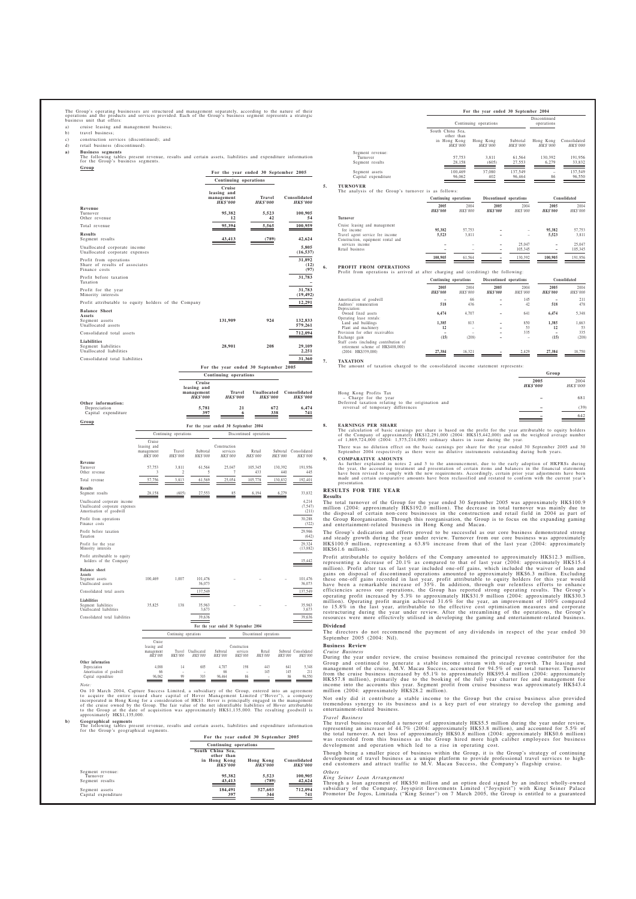The Group's operating businesses are structured and management separately, according to the nature of their<br>operations and the products and services provided. Each of the Group's business segment represents a strategic<br>bus

- cruise leasing and management business;
- b) travel business;
- c) construction services (discontinued); and<br>d) retail business (discontinued).
- retail business (discontinued).
- **a) Business segments** The following tables present revenue, results and certain assets, liabilities and expenditure information for the Group's business segments.

|                                                                | For the year ended 30 September 2005                   |                                  |                                 |
|----------------------------------------------------------------|--------------------------------------------------------|----------------------------------|---------------------------------|
|                                                                | Continuing operations                                  |                                  |                                 |
|                                                                | Cruise<br>leasing and<br>management<br><b>HK\$'000</b> | <b>Travel</b><br><b>HK\$'000</b> | Consolidated<br><b>HK\$'000</b> |
| Revenue                                                        |                                                        |                                  |                                 |
| Turnover<br>Other revenue                                      | 95,382<br>12                                           | 5,523<br>42                      | 100,905<br>54                   |
| Total revenue                                                  | 95,394                                                 | 5,565                            | 100,959                         |
|                                                                |                                                        |                                  |                                 |
| <b>Results</b><br>Segment results                              | 43,413                                                 | (789)                            | 42,624                          |
| Unallocated corporate income<br>Unallocated corporate expenses |                                                        |                                  | 5,805<br>(16, 537)              |
| Profit from operations                                         |                                                        |                                  | 31,892                          |
| Share of results of associates                                 |                                                        |                                  | (12)                            |
| Finance costs                                                  |                                                        |                                  | (97)                            |
| Profit before taxation<br>Taxation                             |                                                        |                                  | 31,783                          |
| Profit for the year<br>Minority interests                      |                                                        |                                  | 31,783<br>(19, 492)             |
| Profit attributable to equity holders of the Company           |                                                        |                                  | 12.291                          |
| <b>Balance Sheet</b>                                           |                                                        |                                  |                                 |
| Assets<br>Segment assets                                       | 131,909                                                | 924                              | 132,833                         |
| Unallocated assets                                             |                                                        |                                  | 579,261                         |
| Consolidated total assets                                      |                                                        |                                  | 712,094                         |
| Liabilities<br>Segment liabilities                             | 28,901                                                 | 208                              | 29,109                          |
| Unallocated liabilities                                        |                                                        |                                  | 2,251                           |
| Consolidated total liabilities                                 |                                                        |                                  | 31,360                          |

|                                                           |                                                        | Continuing operations            |                                |                                 |  |  |
|-----------------------------------------------------------|--------------------------------------------------------|----------------------------------|--------------------------------|---------------------------------|--|--|
|                                                           | Cruise<br>leasing and<br>management<br><b>HK\$'000</b> | <b>Travel</b><br><b>HK\$'000</b> | Unallocated<br><b>HK\$'000</b> | Consolidated<br><b>HK\$'000</b> |  |  |
| Other information:<br>Depreciation<br>Capital expenditure | 5,781<br>397                                           | 21<br>n                          | 672<br>338                     | 6.474<br>741                    |  |  |
| Group                                                     | Eas the veas ended 20 Centember 2004                   |                                  |                                |                                 |  |  |

|                                                                                            |                                                 |                       |                      | гот тие усаг сносо эт эсргенност 2004 |                         |                      |                            |
|--------------------------------------------------------------------------------------------|-------------------------------------------------|-----------------------|----------------------|---------------------------------------|-------------------------|----------------------|----------------------------|
|                                                                                            |                                                 | Continuing operations |                      |                                       | Discontinued operations |                      |                            |
|                                                                                            | Cruise<br>leasing and<br>management<br>HK\$'000 | Travel<br>HK\$'000    | Subtotal<br>HK\$'000 | Construction<br>services<br>HK\$'000  | Retail<br>HK\$'000      | Subtotal<br>HK\$'000 | Consolidated<br>HK\$'000   |
| Revenue<br>Turnover<br>Other revenue                                                       | 57,753<br>3                                     | 3.811<br>2            | 61.564<br>5          | 25,047<br>7                           | 105.345<br>433          | 130.392<br>440       | 191.956<br>445             |
| Total revenue                                                                              | 57,756                                          | 3,813                 | 61,569               | 25,054                                | 105,778                 | 130,832              | 192,401                    |
| <b>Results</b><br>Segment results                                                          | 28,158                                          | (605)                 | 27,553               | 85                                    | 6,194                   | 6,279                | 33.832                     |
| Unallocated corporate income<br>Unallocated corporate expenses<br>Amortisation of goodwill |                                                 |                       |                      |                                       |                         |                      | 4,214<br>(7, 547)<br>(211) |
| Profit from operations<br>Finance costs                                                    |                                                 |                       |                      |                                       |                         |                      | 30.288<br>(322)            |
| Profit before taxation<br>Taxation                                                         |                                                 |                       |                      |                                       |                         |                      | 29,966<br>(642)            |
| Profit for the year<br>Minority interests                                                  |                                                 |                       |                      |                                       |                         |                      | 29,324<br>(13,882)         |
| Profit attributable to equity<br>holders of the Company                                    |                                                 |                       |                      |                                       |                         |                      | 15,442                     |
| <b>Balance</b> sheet                                                                       |                                                 |                       |                      |                                       |                         |                      |                            |
| Assets<br>Segment assets<br>Unallocated assets                                             | 100,469                                         | 1.007                 | 101,476<br>36,073    |                                       |                         |                      | 101.476<br>36,073          |
| Consolidated total assets                                                                  |                                                 |                       | 137.549              |                                       |                         |                      | 137,549                    |
| <b>Liabilities</b><br>Segment liabilities<br>Unallocated liabilities                       | 35,825                                          | 138                   | 35,963<br>3,673      |                                       |                         |                      | 35.963<br>3,673            |
| Consolidated total liabilities                                                             |                                                 |                       | 39,636               |                                       |                         |                      | 39,636                     |
|                                                                                            |                                                 |                       |                      | For the year ended 30 September 2004  |                         |                      |                            |
|                                                                                            |                                                 | Continuing operations |                      |                                       | Discontinued operations |                      |                            |
|                                                                                            | Cruise                                          |                       |                      |                                       |                         |                      |                            |

|                          | Cruise<br>leasing and<br>management<br>HK\$'000 | Travel<br>HK\$'000 | Unallocated<br>HK\$'000  | Subtotal<br>HK\$'000 | Construction<br>services<br><b>HK\$'000</b> | Retail<br><b>HK\$'000</b> | HK\$'000 | Subtotal Consolidated<br><b>HKS'000</b> |
|--------------------------|-------------------------------------------------|--------------------|--------------------------|----------------------|---------------------------------------------|---------------------------|----------|-----------------------------------------|
| Other information        |                                                 |                    |                          |                      |                                             |                           |          |                                         |
| Depreciation             | 4.088                                           | 14                 | 605                      | 4.707                | 198                                         | 443                       | 641      | 5,348                                   |
| Amortisation of goodwill | 66                                              | -                  | $\overline{\phantom{0}}$ | 66                   | -                                           | 145                       | 145      | 211                                     |
| Capital expenditure      | 96,062                                          | 99                 | 303                      | 96,464               | 86                                          | -                         | 86       | 96.550                                  |
| Note:                    |                                                 |                    |                          |                      |                                             |                           |          |                                         |

On 10 March 2004, Capture Success Limited, a subsidiary of the Group, entered into an agreement<br>to acquire the entire issued share capital of Hover Management Limited ("Hover"), a company<br>incorporated in Hong Kong for a co

**b) Geographical segments** The following tables present revenue, results and certain assets, liabilities and expenditure information for the Group's geographical segments.

**For the year ended 30 September 2005 Continuing operations South China Sea, other than in Hong Kong Hong Kong Consolidated** *HK\$'000 HK\$'000 HK\$'000* Segment revenue: Turnover **95,382 5,523 100,905** Segment results<br>
Turnover excels<br>
Segment results **43,413** (789) 42,624<br> **42,624** Segment assets **184,491 527,603 712,094** Capital expenditure **397 344 741**

|    |                                                                                |                                  | For the year ended 30 September 2004 |                         |                             |                              |                          |  |  |
|----|--------------------------------------------------------------------------------|----------------------------------|--------------------------------------|-------------------------|-----------------------------|------------------------------|--------------------------|--|--|
|    |                                                                                |                                  | Continuing operations                |                         |                             | Discontinued<br>operations   |                          |  |  |
|    |                                                                                | South China Sea,<br>in Hong Kong | other than<br><b>HK\$'000</b>        | Hong Kong<br>HK\$'000   | Subtotal<br><b>HK\$'000</b> | Hong Kong<br><b>HK\$'000</b> | Consolidated<br>HK\$'000 |  |  |
|    | Segment revenue:                                                               |                                  |                                      |                         |                             |                              |                          |  |  |
|    | Turnover                                                                       |                                  | 57,753                               | 3,811                   | 61,564                      | 130,392                      | 191,956                  |  |  |
|    | Segment results                                                                |                                  | 28,158                               | (605)                   | 27,553                      | 6,279                        | 33,832                   |  |  |
|    | Segment assets                                                                 |                                  | 100,469                              | 37,080                  | 137,549                     |                              | 137,549                  |  |  |
|    | Capital expenditure                                                            |                                  | 96,062                               | 402                     | 96,464                      | 86                           | 96,550                   |  |  |
| 5. | <b>TURNOVER</b><br>The analysis of the Group's turnover is as follows:         |                                  |                                      |                         |                             |                              |                          |  |  |
|    |                                                                                | Continuing operations            |                                      |                         | Discontinued operations     |                              | Consolidated             |  |  |
|    |                                                                                | 2005<br><b>HK\$'000</b>          | 2004<br>HK\$'000                     | 2005<br><b>HK\$'000</b> | 2004<br>HK\$'000            | 2005<br><b>HK\$'000</b>      | 2004<br>HK\$'000         |  |  |
|    | Turnover                                                                       |                                  |                                      |                         |                             |                              |                          |  |  |
|    | Cruise leasing and management<br>fee income<br>Travel agent service fee income | 95,382<br>5,523                  | 57,753<br>3,811                      |                         |                             | 95,382<br>5,523              | 57,753<br>3,811          |  |  |
|    | Construction, equipment rental and<br>services income                          | -                                |                                      |                         | 25,047                      |                              | 25,047                   |  |  |

services income **–** – **–** 25,047 **–** 25,047 Retail business **–** – **–** 105,345 **–** 105,345

**100,905** 61,564 **–** 130,392 **100,905** 191,956

**Group**

## **6. PROFIT FROM OPERATIONS**

|                                                                             |                         | Continuing operations |                         | Discontinued operations |                         | Consolidated     |  |
|-----------------------------------------------------------------------------|-------------------------|-----------------------|-------------------------|-------------------------|-------------------------|------------------|--|
|                                                                             | 2005<br><b>HK\$'000</b> | 2004<br>HK\$'000      | 2005<br><b>HK\$'000</b> | 2004<br>HK\$'000        | 2005<br><b>HK\$'000</b> | 2004<br>HK\$'000 |  |
| Amortisation of goodwill                                                    |                         | 66                    |                         | 145                     |                         | 211              |  |
| Auditors' remuneration                                                      | 518                     | 436                   |                         | 42                      | 518                     | 478              |  |
| Depreciation:                                                               |                         |                       |                         |                         |                         |                  |  |
| Owned fixed assets                                                          | 6.474                   | 4.707                 |                         | 641                     | 6,474                   | 5.348            |  |
| Operating lease rentals:                                                    |                         |                       |                         |                         |                         |                  |  |
| Land and buildings                                                          | 1.385                   | 813                   |                         | 850                     | 1.385                   | 1.663            |  |
| Plant and machinery                                                         | 12                      |                       |                         | 53                      | 12                      | 53               |  |
| Provision for other receivables                                             |                         |                       |                         | 335                     |                         | 335              |  |
| Exchange gain                                                               | (15)                    | (208)                 |                         |                         | (15)                    | (208)            |  |
| Staff costs (including contribution of<br>retirement scheme of HK\$408,000) |                         |                       |                         |                         |                         |                  |  |
| (2004: HK\$339,000)                                                         | 27,384                  | 16.321                |                         | 2.429                   | 27.384                  | 18.750           |  |

# **7. TAXATION**

IT of taxation charged to the consolidated income statement represents:

|                                                   | 2005<br><b>HK\$'000</b> | 2004<br><b>HK\$'000</b> |
|---------------------------------------------------|-------------------------|-------------------------|
| Hong Kong Profits Tax                             |                         |                         |
| - Charge for the year                             |                         | 681                     |
| Deferred taxation relating to the origination and |                         |                         |
| reversal of temporary differences                 |                         | (39)                    |
|                                                   |                         | 642                     |

**8.** EARNINGS PER SHARE<br>The calculation of basic earnings per share is based on the profit for the year attributable to equity holders<br>of the Company of approximately HK\$12,291,000 (2004: HK\$15,442,000) and on the weighted

There was no dilution effect on the basic earnings per share for the year ended 30 September 2005 and 30 September 2004 respectively as there were no dilutive instruments outstanding during both years.

**9. COMPARATIVE AMOUNTS**

As further explained in notes 2 and 3 to the announcement, due to the early adoption of HKFRSs during<br>the year, the accounting treatment and presentation of certain items and balances in the financial statements<br>have been presentation.

# **RESULTS FOR THE YEAR**

### **Results**

The total turnover of the Group for the year ended 30 September 2005 was approximately HK\$100.9 million (2004: approximately HK\$192.0 million). The decrease in total turnover was mainly due to the disposal of certain non-c

The Group's dedication and efforts proved to be successful as our core business demonstrated strong<br>and steady growth during the year under review. Turnover from our core business was approximately<br>HK\$100.9 million, repres HK\$61.6 million).

Profit attributable to equity holders of the Company amounted to approximately HK\$12.3 million,<br>representing a decrease of 20.1% as compared to that of last year (2004: approximately HK\$15.4 is<br>million). Profit after tax o **Dividend**

The directors do not recommend the payment of any dividends in respect of the year ended 30 September 2005 (2004: Nil).

### **Business Review** *Cruise Business*

During the year under review, the cruise business remained the principal revenue contributor for the Group and continued to generate a stable income stream with steady growth. The leasing and management of the cruise, M.V.

Not only did it contribute a stable income to the Group but the cruise business also provided tremendous synergy to its business and is a key part of our strategy to develop the gaming and entertainment-related business.

#### *Travel Business*

The travel business recorded a turnover of approximately HK\$5.5 million during the year under review, representing an increase of 44.7% (2004: approximately HK\$3.8 million), and accounted for 5.5% of the total turnover. A

Though being a smaller piece of business within the Group, it is the Group's strategy of continuing<br>development of travel business as a unique platform to provide professional travel services to high-<br>end customers and att

### *Others King Seiner Loan Arrangement*

Through a loan agreement of HK\$50 million and an option deed signed by an indirect wholly-owned<br>subsidiary of the Company, Joyspirit Investments Limited ("Joyspirit") with King Seiner Palace<br>Promotor De Jogos, Limitada ("K